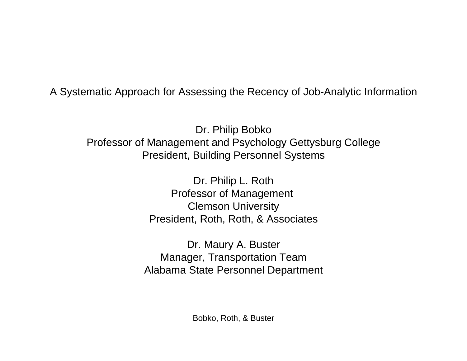A Systematic Approach for Assessing the Recency of Job-Analytic Information

Dr. Philip Bobko Professor of Management and Psychology Gettysburg College President, Building Personnel Systems

> Dr. Philip L. Roth Professor of Management Clemson University President, Roth, Roth, & Associates

Dr. Maury A. Buster Manager, Transportation Team Alabama State Personnel Department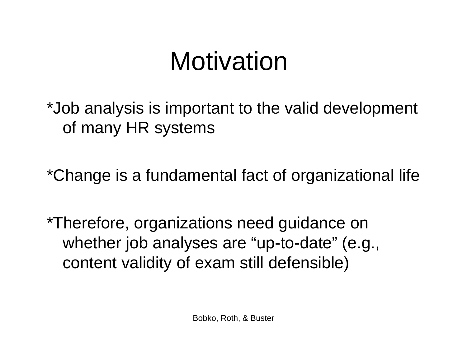### Motivation

\*Job analysis is important to the valid development of many HR systems

\*Change is a fundamental fact of organizational life

\*Therefore, organizations need guidance on whether job analyses are "up-to-date" (e.g., content validity of exam still defensible)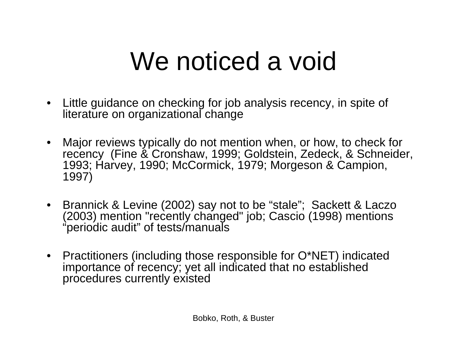## We noticed a void

- $\bullet$  Little guidance on checking for job analysis recency, in spite of literature on organizational change
- Major reviews typically do not mention when, or how, to check for recency (Fine & Cronshaw, 1999; Goldstein, Zedeck, & Schneider, 1993; Harvey, 1990; McCormick, 1979; Morgeson & Campion, 1997)
- Brannick & Levine (2002) say not to be "stale"; Sackett & Laczo (2003) mention "recently changed" job; Cascio (1998) mentions "periodic audit" of tests/manuals
- Practitioners (including those responsible for O\*NET) indicated importance of recency; yet all indicated that no established procedures currently existed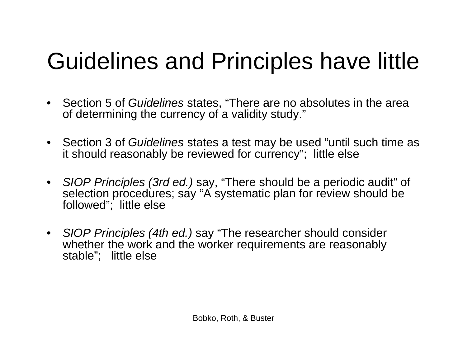#### Guidelines and Principles have little

- Section 5 of *Guidelines* states, "There are no absolutes in the area of determining the currency of a validity study."
- Section 3 of *Guidelines* states a test may be used "until such time as it should reasonably be reviewed for currency"; little else
- *SIOP Principles (3rd ed.)* say, "There should be a periodic audit" of selection procedures; say "A systematic plan for review should be followed"; little else
- *SIOP Principles (4th ed.)* say "The researcher should consider whether the work and the worker requirements are reasonably stable"; little else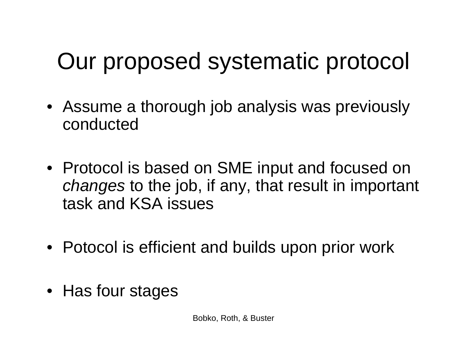#### Our proposed systematic protocol

- Assume a thorough job analysis was previously conducted
- Protocol is based on SME input and focused on *changes* to the job, if any, that result in important task and KSA issues
- Potocol is efficient and builds upon prior work
- Has four stages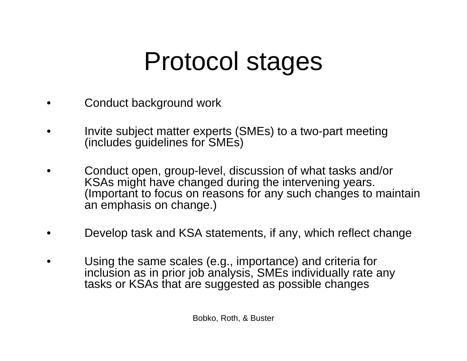## Protocol stages

- •Conduct background work
- • Invite subject matter experts (SMEs) to a two-part meeting (includes guidelines for SMEs)
- • Conduct open, group-level, discussion of what tasks and/or KSAs might have changed during the intervening years. (Important to focus on reasons for any such changes to maintain an emphasis on change.)
- •Develop task and KSA statements, if any, which reflect change
- • Using the same scales (e.g., importance) and criteria for inclusion as in prior job analysis, SMEs individually rate any tasks or KSAs that are suggested as possible changes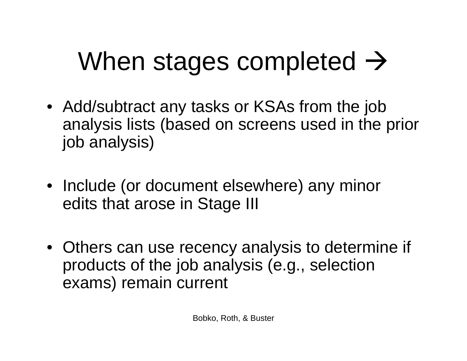# When stages completed  $\rightarrow$

- Add/subtract any tasks or KSAs from the job analysis lists (based on screens used in the prior job analysis)
- Include (or document elsewhere) any minor edits that arose in Stage III
- Others can use recency analysis to determine if products of the job analysis (e.g., selection exams) remain current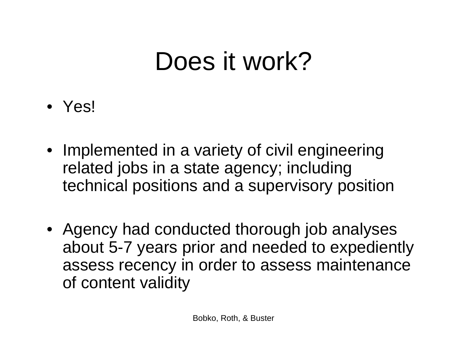### Does it work?

- Yes!
- Implemented in a variety of civil engineering related jobs in a state agency; including technical positions and a supervisory position
- Agency had conducted thorough job analyses about 5-7 years prior and needed to expediently assess recency in order to assess maintenance of content validity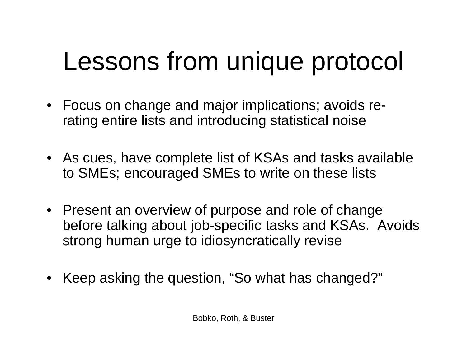### Lessons from unique protocol

- Focus on change and major implications; avoids rerating entire lists and introducing statistical noise
- As cues, have complete list of KSAs and tasks available to SMEs; encouraged SMEs to write on these lists
- Present an overview of purpose and role of change before talking about job-specific tasks and KSAs. Avoids strong human urge to idiosyncratically revise
- Keep asking the question, "So what has changed?"